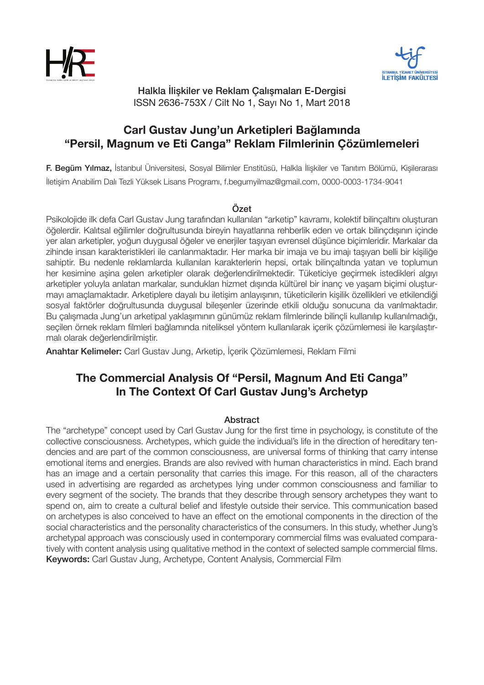



Halkla İlişkiler ve Reklam Çalışmaları E-Dergisi ISSN 2636-753X / Cilt No 1, Sayı No 1, Mart 2018

# **Carl Gustav Jung'un Arketipleri Bağlamında "Persil, Magnum ve Eti Canga" Reklam Filmlerinin Çözümlemeleri**

F. Begüm Yılmaz, İstanbul Üniversitesi, Sosyal Bilimler Enstitüsü, Halkla İlişkiler ve Tanıtım Bölümü, Kişilerarası İletişim Anabilim Dalı Tezli Yüksek Lisans Programı, f.begumyilmaz@gmail.com, 0000-0003-1734-9041

## Özet

Psikolojide ilk defa Carl Gustav Jung tarafından kullanılan "arketip" kavramı, kolektif bilinçaltını oluşturan öğelerdir. Kalıtsal eğilimler doğrultusunda bireyin hayatlarına rehberlik eden ve ortak bilinçdışının içinde yer alan arketipler, yoğun duygusal öğeler ve enerjiler taşıyan evrensel düşünce biçimleridir. Markalar da zihinde insan karakteristikleri ile canlanmaktadır. Her marka bir imaja ve bu imajı taşıyan belli bir kişiliğe sahiptir. Bu nedenle reklamlarda kullanılan karakterlerin hepsi, ortak bilinçaltında yatan ve toplumun her kesimine aşina gelen arketipler olarak değerlendirilmektedir. Tüketiciye geçirmek istedikleri algıyı arketipler yoluyla anlatan markalar, sundukları hizmet dışında kültürel bir inanç ve yaşam biçimi oluşturmayı amaçlamaktadır. Arketiplere dayalı bu iletişim anlayışının, tüketicilerin kişilik özellikleri ve etkilendiği sosyal faktörler doğrultusunda duygusal bileşenler üzerinde etkili olduğu sonucuna da varılmaktadır. Bu çalışmada Jung'un arketipal yaklaşımının günümüz reklam filmlerinde bilinçli kullanılıp kullanılmadığı, seçilen örnek reklam filmleri bağlamında niteliksel yöntem kullanılarak içerik çözümlemesi ile karşılaştırmalı olarak değerlendirilmiştir.

Anahtar Kelimeler: Carl Gustav Jung, Arketip, İçerik Çözümlemesi, Reklam Filmi

# **The Commercial Analysis Of "Persi̇l, Magnum And Eti̇ Canga" In The Context Of Carl Gustav Jung's Archetyp**

## Abstract

The "archetype" concept used by Carl Gustav Jung for the first time in psychology, is constitute of the collective consciousness. Archetypes, which guide the individual's life in the direction of hereditary tendencies and are part of the common consciousness, are universal forms of thinking that carry intense emotional items and energies. Brands are also revived with human characteristics in mind. Each brand has an image and a certain personality that carries this image. For this reason, all of the characters used in advertising are regarded as archetypes lying under common consciousness and familiar to every segment of the society. The brands that they describe through sensory archetypes they want to spend on, aim to create a cultural belief and lifestyle outside their service. This communication based on archetypes is also conceived to have an effect on the emotional components in the direction of the social characteristics and the personality characteristics of the consumers. In this study, whether Jung's archetypal approach was consciously used in contemporary commercial films was evaluated comparatively with content analysis using qualitative method in the context of selected sample commercial films. Keywords: Carl Gustav Jung, Archetype, Content Analysis, Commercial Film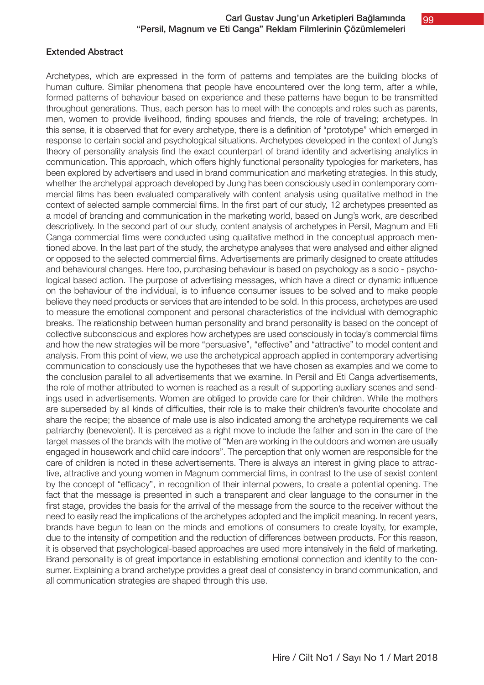## Extended Abstract

Archetypes, which are expressed in the form of patterns and templates are the building blocks of human culture. Similar phenomena that people have encountered over the long term, after a while, formed patterns of behaviour based on experience and these patterns have begun to be transmitted throughout generations. Thus, each person has to meet with the concepts and roles such as parents, men, women to provide livelihood, finding spouses and friends, the role of traveling; archetypes. In this sense, it is observed that for every archetype, there is a definition of "prototype" which emerged in response to certain social and psychological situations. Archetypes developed in the context of Jung's theory of personality analysis find the exact counterpart of brand identity and advertising analytics in communication. This approach, which offers highly functional personality typologies for marketers, has been explored by advertisers and used in brand communication and marketing strategies. In this study, whether the archetypal approach developed by Jung has been consciously used in contemporary commercial films has been evaluated comparatively with content analysis using qualitative method in the context of selected sample commercial films. In the first part of our study, 12 archetypes presented as a model of branding and communication in the marketing world, based on Jung's work, are described descriptively. In the second part of our study, content analysis of archetypes in Persil, Magnum and Eti Canga commercial films were conducted using qualitative method in the conceptual approach mentioned above. In the last part of the study, the archetype analyses that were analysed and either aligned or opposed to the selected commercial films. Advertisements are primarily designed to create attitudes and behavioural changes. Here too, purchasing behaviour is based on psychology as a socio - psychological based action. The purpose of advertising messages, which have a direct or dynamic influence on the behaviour of the individual, is to influence consumer issues to be solved and to make people believe they need products or services that are intended to be sold. In this process, archetypes are used to measure the emotional component and personal characteristics of the individual with demographic breaks. The relationship between human personality and brand personality is based on the concept of collective subconscious and explores how archetypes are used consciously in today's commercial films and how the new strategies will be more "persuasive", "effective" and "attractive" to model content and analysis. From this point of view, we use the archetypical approach applied in contemporary advertising communication to consciously use the hypotheses that we have chosen as examples and we come to the conclusion parallel to all advertisements that we examine. In Persil and Eti Canga advertisements, the role of mother attributed to women is reached as a result of supporting auxiliary scenes and sendings used in advertisements. Women are obliged to provide care for their children. While the mothers are superseded by all kinds of difficulties, their role is to make their children's favourite chocolate and share the recipe; the absence of male use is also indicated among the archetype requirements we call patriarchy (benevolent). It is perceived as a right move to include the father and son in the care of the target masses of the brands with the motive of "Men are working in the outdoors and women are usually engaged in housework and child care indoors". The perception that only women are responsible for the care of children is noted in these advertisements. There is always an interest in giving place to attractive, attractive and young women in Magnum commercial films, in contrast to the use of sexist content by the concept of "efficacy", in recognition of their internal powers, to create a potential opening. The fact that the message is presented in such a transparent and clear language to the consumer in the first stage, provides the basis for the arrival of the message from the source to the receiver without the need to easily read the implications of the archetypes adopted and the implicit meaning. In recent years, brands have begun to lean on the minds and emotions of consumers to create loyalty, for example, due to the intensity of competition and the reduction of differences between products. For this reason, it is observed that psychological-based approaches are used more intensively in the field of marketing. Brand personality is of great importance in establishing emotional connection and identity to the consumer. Explaining a brand archetype provides a great deal of consistency in brand communication, and all communication strategies are shaped through this use.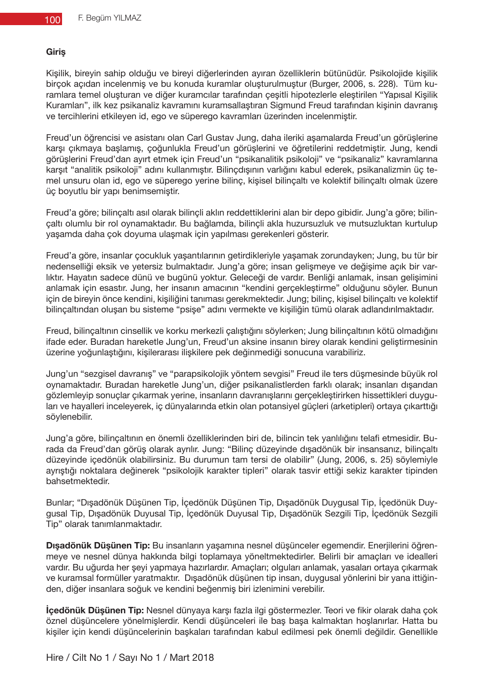#### **Giriş**

Kişilik, bireyin sahip olduğu ve bireyi diğerlerinden ayıran özelliklerin bütünüdür. Psikolojide kişilik birçok açıdan incelenmiş ve bu konuda kuramlar oluşturulmuştur (Burger, 2006, s. 228). Tüm kuramlara temel oluşturan ve diğer kuramcılar tarafından çeşitli hipotezlerle eleştirilen "Yapısal Kişilik Kuramları", ilk kez psikanaliz kavramını kuramsallaştıran Sigmund Freud tarafından kişinin davranış ve tercihlerini etkileyen id, ego ve süperego kavramları üzerinden incelenmiştir.

Freud'un öğrencisi ve asistanı olan Carl Gustav Jung, daha ileriki aşamalarda Freud'un görüşlerine karşı çıkmaya başlamış, çoğunlukla Freud'un görüşlerini ve öğretilerini reddetmiştir. Jung, kendi görüşlerini Freud'dan ayırt etmek için Freud'un "psikanalitik psikoloji" ve "psikanaliz" kavramlarına karşıt "analitik psikoloji" adını kullanmıştır. Bilinçdışının varlığını kabul ederek, psikanalizmin üç temel unsuru olan id, ego ve süperego yerine bilinç, kişisel bilinçaltı ve kolektif bilinçaltı olmak üzere üç boyutlu bir yapı benimsemiştir.

Freud'a göre; bilinçaltı asıl olarak bilinçli aklın reddettiklerini alan bir depo gibidir. Jung'a göre; bilinçaltı olumlu bir rol oynamaktadır. Bu bağlamda, bilinçli akla huzursuzluk ve mutsuzluktan kurtulup yaşamda daha çok doyuma ulaşmak için yapılması gerekenleri gösterir.

Freud'a göre, insanlar çocukluk yaşantılarının getirdikleriyle yaşamak zorundayken; Jung, bu tür bir nedenselliği eksik ve yetersiz bulmaktadır. Jung'a göre; insan gelişmeye ve değişime açık bir varlıktır. Hayatın sadece dünü ve bugünü yoktur. Geleceği de vardır. Benliği anlamak, insan gelişimini anlamak için esastır. Jung, her insanın amacının "kendini gerçekleştirme" olduğunu söyler. Bunun için de bireyin önce kendini, kişiliğini tanıması gerekmektedir. Jung; bilinç, kişisel bilinçaltı ve kolektif bilinçaltından oluşan bu sisteme "psişe" adını vermekte ve kişiliğin tümü olarak adlandırılmaktadır.

Freud, bilinçaltının cinsellik ve korku merkezli çalıştığını söylerken; Jung bilinçaltının kötü olmadığını ifade eder. Buradan hareketle Jung'un, Freud'un aksine insanın birey olarak kendini geliştirmesinin üzerine yoğunlaştığını, kişilerarası ilişkilere pek değinmediği sonucuna varabiliriz.

Jung'un "sezgisel davranış" ve "parapsikolojik yöntem sevgisi" Freud ile ters düşmesinde büyük rol oynamaktadır. Buradan hareketle Jung'un, diğer psikanalistlerden farklı olarak; insanları dışarıdan gözlemleyip sonuçlar çıkarmak yerine, insanların davranışlarını gerçekleştirirken hissettikleri duyguları ve hayalleri inceleyerek, iç dünyalarında etkin olan potansiyel güçleri (arketipleri) ortaya çıkarttığı söylenebilir.

Jung'a göre, bilinçaltının en önemli özelliklerinden biri de, bilincin tek yanlılığını telafi etmesidir. Burada da Freud'dan görüş olarak ayrılır. Jung: "Bilinç düzeyinde dışadönük bir insansanız, bilinçaltı düzeyinde içedönük olabilirsiniz. Bu durumun tam tersi de olabilir" (Jung, 2006, s. 25) söylemiyle ayrıştığı noktalara değinerek "psikolojik karakter tipleri" olarak tasvir ettiği sekiz karakter tipinden bahsetmektedir.

Bunlar; "Dışadönük Düşünen Tip, İçedönük Düşünen Tip, Dışadönük Duygusal Tip, İçedönük Duygusal Tip, Dışadönük Duyusal Tip, İçedönük Duyusal Tip, Dışadönük Sezgili Tip, İçedönük Sezgili Tip" olarak tanımlanmaktadır.

**Dışadönük Düşünen Tip:** Bu insanların yaşamına nesnel düşünceler egemendir. Enerjilerini öğrenmeye ve nesnel dünya hakkında bilgi toplamaya yöneltmektedirler. Belirli bir amaçları ve idealleri vardır. Bu uğurda her şeyi yapmaya hazırlardır. Amaçları; olguları anlamak, yasaları ortaya çıkarmak ve kuramsal formüller yaratmaktır. Dışadönük düşünen tip insan, duygusal yönlerini bir yana ittiğinden, diğer insanlara soğuk ve kendini beğenmiş biri izlenimini verebilir.

**İçedönük Düşünen Tip:** Nesnel dünyaya karşı fazla ilgi göstermezler. Teori ve fikir olarak daha çok öznel düşüncelere yönelmişlerdir. Kendi düşünceleri ile baş başa kalmaktan hoşlanırlar. Hatta bu kişiler için kendi düşüncelerinin başkaları tarafından kabul edilmesi pek önemli değildir. Genellikle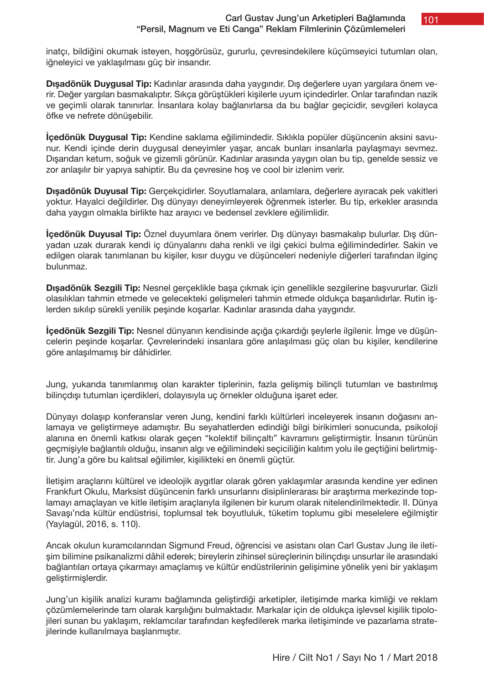101

inatçı, bildiğini okumak isteyen, hoşgörüsüz, gururlu, çevresindekilere küçümseyici tutumları olan, iğneleyici ve yaklaşılması güç bir insandır.

**Dışadönük Duygusal Tip:** Kadınlar arasında daha yaygındır. Dış değerlere uyan yargılara önem verir. Değer yargıları basmakalıptır. Sıkça görüştükleri kişilerle uyum içindedirler. Onlar tarafından nazik ve geçimli olarak tanınırlar. İnsanlara kolay bağlanırlarsa da bu bağlar geçicidir, sevgileri kolayca öfke ve nefrete dönüşebilir.

**İçedönük Duygusal Tip:** Kendine saklama eğilimindedir. Sıklıkla popüler düşüncenin aksini savunur. Kendi içinde derin duygusal deneyimler yaşar, ancak bunları insanlarla paylaşmayı sevmez. Dışarıdan ketum, soğuk ve gizemli görünür. Kadınlar arasında yaygın olan bu tip, genelde sessiz ve zor anlaşılır bir yapıya sahiptir. Bu da çevresine hoş ve cool bir izlenim verir.

**Dışadönük Duyusal Tip:** Gerçekçidirler. Soyutlamalara, anlamlara, değerlere ayıracak pek vakitleri yoktur. Hayalci değildirler. Dış dünyayı deneyimleyerek öğrenmek isterler. Bu tip, erkekler arasında daha yaygın olmakla birlikte haz arayıcı ve bedensel zevklere eğilimlidir.

**İçedönük Duyusal Tip:** Öznel duyumlara önem verirler. Dış dünyayı basmakalıp bulurlar. Dış dünyadan uzak durarak kendi iç dünyalarını daha renkli ve ilgi çekici bulma eğilimindedirler. Sakin ve edilgen olarak tanımlanan bu kişiler, kısır duygu ve düşünceleri nedeniyle diğerleri tarafından ilginç bulunmaz.

**Dışadönük Sezgili Tip:** Nesnel gerçeklikle başa çıkmak için genellikle sezgilerine başvururlar. Gizli olasılıkları tahmin etmede ve gelecekteki gelişmeleri tahmin etmede oldukça başarılıdırlar. Rutin işlerden sıkılıp sürekli yenilik peşinde koşarlar. Kadınlar arasında daha yaygındır.

**İçedönük Sezgili Tip:** Nesnel dünyanın kendisinde açığa çıkardığı şeylerle ilgilenir. İmge ve düşüncelerin peşinde koşarlar. Çevrelerindeki insanlara göre anlaşılması güç olan bu kişiler, kendilerine göre anlaşılmamış bir dâhidirler.

Jung, yukarıda tanımlanmış olan karakter tiplerinin, fazla gelişmiş bilinçli tutumları ve bastırılmış bilinçdışı tutumları içerdikleri, dolayısıyla uç örnekler olduğuna işaret eder.

Dünyayı dolaşıp konferanslar veren Jung, kendini farklı kültürleri inceleyerek insanın doğasını anlamaya ve geliştirmeye adamıştır. Bu seyahatlerden edindiği bilgi birikimleri sonucunda, psikoloji alanına en önemli katkısı olarak geçen "kolektif bilinçaltı" kavramını geliştirmiştir. İnsanın türünün geçmişiyle bağlantılı olduğu, insanın algı ve eğilimindeki seçiciliğin kalıtım yolu ile geçtiğini belirtmiştir. Jung'a göre bu kalıtsal eğilimler, kişilikteki en önemli güçtür.

İletişim araçlarını kültürel ve ideolojik aygıtlar olarak gören yaklaşımlar arasında kendine yer edinen Frankfurt Okulu, Marksist düşüncenin farklı unsurlarını disiplinlerarası bir araştırma merkezinde toplamayı amaçlayan ve kitle iletişim araçlarıyla ilgilenen bir kurum olarak nitelendirilmektedir. II. Dünya Savaşı'nda kültür endüstrisi, toplumsal tek boyutluluk, tüketim toplumu gibi meselelere eğilmiştir (Yaylagül, 2016, s. 110).

Ancak okulun kuramcılarından Sigmund Freud, öğrencisi ve asistanı olan Carl Gustav Jung ile iletişim bilimine psikanalizmi dâhil ederek; bireylerin zihinsel süreçlerinin bilinçdışı unsurlar ile arasındaki bağlantıları ortaya çıkarmayı amaçlamış ve kültür endüstrilerinin gelişimine yönelik yeni bir yaklaşım geliştirmişlerdir.

Jung'un kişilik analizi kuramı bağlamında geliştirdiği arketipler, iletişimde marka kimliği ve reklam çözümlemelerinde tam olarak karşılığını bulmaktadır. Markalar için de oldukça işlevsel kişilik tipolojileri sunan bu yaklaşım, reklamcılar tarafından keşfedilerek marka iletişiminde ve pazarlama stratejilerinde kullanılmaya başlanmıştır.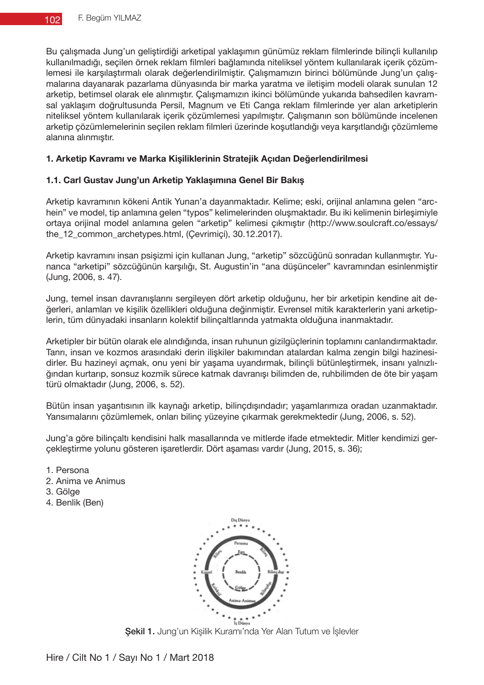Bu çalışmada Jung'un geliştirdiği arketipal yaklaşımın günümüz reklam filmlerinde bilinçli kullanılıp kullanılmadığı, seçilen örnek reklam filmleri bağlamında niteliksel yöntem kullanılarak içerik çözümlemesi ile karşılaştırmalı olarak değerlendirilmiştir. Çalışmamızın birinci bölümünde Jung'un çalışmalarına dayanarak pazarlama dünyasında bir marka yaratma ve iletişim modeli olarak sunulan 12 arketip, betimsel olarak ele alınmıştır. Çalışmamızın ikinci bölümünde yukarıda bahsedilen kavramsal yaklaşım doğrultusunda Persil, Magnum ve Eti Canga reklam filmlerinde yer alan arketiplerin niteliksel yöntem kullanılarak içerik çözümlemesi yapılmıştır. Çalışmanın son bölümünde incelenen arketip çözümlemelerinin seçilen reklam filmleri üzerinde koşutlandığı veya karşıtlandığı çözümleme alanına alınmıştır.

## **1. Arketip Kavramı ve Marka Kişiliklerinin Stratejik Açıdan Değerlendirilmesi**

## **1.1. Carl Gustav Jung'un Arketip Yaklaşımına Genel Bir Bakış**

Arketip kavramının kökeni Antik Yunan'a dayanmaktadır. Kelime; eski, orijinal anlamına gelen "archein" ve model, tip anlamına gelen "typos" kelimelerinden oluşmaktadır. Bu iki kelimenin birleşimiyle ortaya orijinal model anlamına gelen "arketip" kelimesi çıkmıştır (http://www.soulcraft.co/essays/ the\_12\_common\_archetypes.html, (Çevrimiçi), 30.12.2017).

Arketip kavramını insan psişizmi için kullanan Jung, "arketip" sözcüğünü sonradan kullanmıştır. Yunanca "arketipi" sözcüğünün karşılığı, St. Augustin'in "ana düşünceler" kavramından esinlenmiştir (Jung, 2006, s. 47).

Jung, temel insan davranışlarını sergileyen dört arketip olduğunu, her bir arketipin kendine ait değerleri, anlamları ve kişilik özellikleri olduğuna değinmiştir. Evrensel mitik karakterlerin yani arketiplerin, tüm dünyadaki insanların kolektif bilinçaltlarında yatmakta olduğuna inanmaktadır.

Arketipler bir bütün olarak ele alındığında, insan ruhunun gizilgüçlerinin toplamını canlandırmaktadır. Tanrı, insan ve kozmos arasındaki derin ilişkiler bakımından atalardan kalma zengin bilgi hazinesidirler. Bu hazineyi açmak, onu yeni bir yaşama uyandırmak, bilinçli bütünleştirmek, insanı yalnızlığından kurtarıp, sonsuz kozmik sürece katmak davranışı bilimden de, ruhbilimden de öte bir yaşam türü olmaktadır (Jung, 2006, s. 52).

Bütün insan yaşantısının ilk kaynağı arketip, bilinçdışındadır; yaşamlarımıza oradan uzanmaktadır. Yansımalarını çözümlemek, onları bilinç yüzeyine çıkarmak gerekmektedir (Jung, 2006, s. 52).

Jung'a göre bilinçaltı kendisini halk masallarında ve mitlerde ifade etmektedir. Mitler kendimizi gerçekleştirme yolunu gösteren işaretlerdir. Dört aşaması vardır (Jung, 2015, s. 36);

- 1. Persona
- 2. Anima ve Animus
- 3. Gölge
- 4. Benlik (Ben)



Şekil 1. Jung'un Kişilik Kuramı'nda Yer Alan Tutum ve İşlevler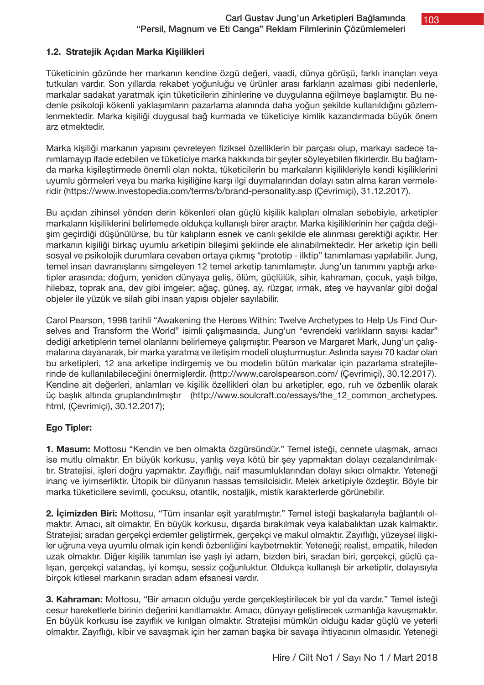# **1.2. Stratejik Açıdan Marka Kişilikleri**

Tüketicinin gözünde her markanın kendine özgü değeri, vaadi, dünya görüşü, farklı inançları veya tutkuları vardır. Son yıllarda rekabet yoğunluğu ve ürünler arası farkların azalması gibi nedenlerle, markalar sadakat yaratmak için tüketicilerin zihinlerine ve duygularına eğilmeye başlamıştır. Bu nedenle psikoloji kökenli yaklaşımların pazarlama alanında daha yoğun şekilde kullanıldığını gözlemlenmektedir. Marka kişiliği duygusal bağ kurmada ve tüketiciye kimlik kazandırmada büyük önem arz etmektedir.

Marka kişiliği markanın yapısını çevreleyen fiziksel özelliklerin bir parçası olup, markayı sadece tanımlamayıp ifade edebilen ve tüketiciye marka hakkında bir şeyler söyleyebilen fikirlerdir. Bu bağlamda marka kişileştirmede önemli olan nokta, tüketicilerin bu markaların kişilikleriyle kendi kişiliklerini uyumlu görmeleri veya bu marka kişiliğine karşı ilgi duymalarından dolayı satın alma kararı vermeleridir (https://www.investopedia.com/terms/b/brand-personality.asp (Çevrimiçi), 31.12.2017).

Bu açıdan zihinsel yönden derin kökenleri olan güçlü kişilik kalıpları olmaları sebebiyle, arketipler markaların kişiliklerini belirlemede oldukça kullanışlı birer araçtır. Marka kişiliklerinin her çağda değişim geçirdiği düşünülürse, bu tür kalıpların esnek ve canlı şekilde ele alınması gerektiği açıktır. Her markanın kişiliği birkaç uyumlu arketipin bileşimi şeklinde ele alınabilmektedir. Her arketip için belli sosyal ve psikolojik durumlara cevaben ortaya çıkmış "prototip - ilktip" tanımlaması yapılabilir. Jung, temel insan davranışlarını simgeleyen 12 temel arketip tanımlamıştır. Jung'un tanımını yaptığı arketipler arasında; doğum, yeniden dünyaya geliş, ölüm, güçlülük, sihir, kahraman, çocuk, yaşlı bilge, hilebaz, toprak ana, dev gibi imgeler; ağaç, güneş, ay, rüzgar, ırmak, ateş ve hayvanlar gibi doğal objeler ile yüzük ve silah gibi insan yapısı objeler sayılabilir.

Carol Pearson, 1998 tarihli "Awakening the Heroes Within: Twelve Archetypes to Help Us Find Ourselves and Transform the World" isimli çalışmasında, Jung'un "evrendeki varlıkların sayısı kadar" dediği arketiplerin temel olanlarını belirlemeye çalışmıştır. Pearson ve Margaret Mark, Jung'un çalışmalarına dayanarak, bir marka yaratma ve iletişim modeli oluşturmuştur. Aslında sayısı 70 kadar olan bu arketipleri, 12 ana arketipe indirgemiş ve bu modelin bütün markalar için pazarlama stratejilerinde de kullanılabileceğini önermişlerdir. (http://www.carolspearson.com/ (Çevrimiçi), 30.12.2017). Kendine ait değerleri, anlamları ve kişilik özellikleri olan bu arketipler, ego, ruh ve özbenlik olarak üç başlık altında gruplandırılmıştır (http://www.soulcraft.co/essays/the\_12\_common\_archetypes. html, (Çevrimiçi), 30.12.2017);

# **Ego Tipler:**

**1. Masum:** Mottosu "Kendin ve ben olmakta özgürsündür." Temel isteği, cennete ulaşmak, amacı ise mutlu olmaktır. En büyük korkusu, yanlış veya kötü bir şey yapmaktan dolayı cezalandırılmaktır. Stratejisi, işleri doğru yapmaktır. Zayıflığı, naif masumluklarından dolayı sıkıcı olmaktır. Yeteneği inanç ve iyimserliktir. Ütopik bir dünyanın hassas temsilcisidir. Melek arketipiyle özdeştir. Böyle bir marka tüketicilere sevimli, çocuksu, otantik, nostaljik, mistik karakterlerde görünebilir.

**2. İçimizden Biri:** Mottosu, "Tüm insanlar eşit yaratılmıştır." Temel isteği başkalarıyla bağlantılı olmaktır. Amacı, ait olmaktır. En büyük korkusu, dışarda bırakılmak veya kalabalıktan uzak kalmaktır. Stratejisi; sıradan gerçekçi erdemler geliştirmek, gerçekçi ve makul olmaktır. Zayıflığı, yüzeysel ilişkiler uğruna veya uyumlu olmak için kendi özbenliğini kaybetmektir. Yeteneği; realist, empatik, hileden uzak olmaktır. Diğer kişilik tanımları ise yaşlı iyi adam, bizden biri, sıradan biri, gerçekçi, güçlü çalışan, gerçekçi vatandaş, iyi komşu, sessiz çoğunluktur. Oldukça kullanışlı bir arketiptir, dolayısıyla birçok kitlesel markanın sıradan adam efsanesi vardır.

**3. Kahraman:** Mottosu, "Bir amacın olduğu yerde gerçekleştirilecek bir yol da vardır." Temel isteği cesur hareketlerle birinin değerini kanıtlamaktır. Amacı, dünyayı geliştirecek uzmanlığa kavuşmaktır. En büyük korkusu ise zayıflık ve kırılgan olmaktır. Stratejisi mümkün olduğu kadar güçlü ve yeterli olmaktır. Zayıflığı, kibir ve savaşmak için her zaman başka bir savaşa ihtiyacının olmasıdır. Yeteneği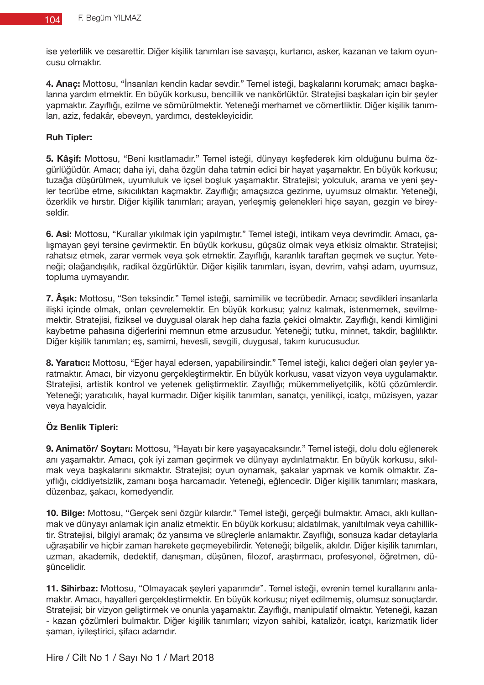ise yeterlilik ve cesarettir. Diğer kişilik tanımları ise savaşçı, kurtarıcı, asker, kazanan ve takım oyuncusu olmaktır.

**4. Anaç:** Mottosu, "İnsanları kendin kadar sevdir." Temel isteği, başkalarını korumak; amacı başkalarına yardım etmektir. En büyük korkusu, bencillik ve nankörlüktür. Stratejisi başkaları için bir şeyler yapmaktır. Zayıflığı, ezilme ve sömürülmektir. Yeteneği merhamet ve cömertliktir. Diğer kişilik tanımları, aziz, fedakâr, ebeveyn, yardımcı, destekleyicidir.

## **Ruh Tipler:**

**5. Kâşif:** Mottosu, "Beni kısıtlamadır." Temel isteği, dünyayı keşfederek kim olduğunu bulma özgürlüğüdür. Amacı; daha iyi, daha özgün daha tatmin edici bir hayat yaşamaktır. En büyük korkusu; tuzağa düşürülmek, uyumluluk ve içsel boşluk yaşamaktır. Stratejisi; yolculuk, arama ve yeni şeyler tecrübe etme, sıkıcılıktan kaçmaktır. Zayıflığı; amaçsızca gezinme, uyumsuz olmaktır. Yeteneği, özerklik ve hırstır. Diğer kişilik tanımları; arayan, yerleşmiş gelenekleri hiçe sayan, gezgin ve bireyseldir.

**6. Asi:** Mottosu, "Kurallar yıkılmak için yapılmıştır." Temel isteği, intikam veya devrimdir. Amacı, çalışmayan şeyi tersine çevirmektir. En büyük korkusu, güçsüz olmak veya etkisiz olmaktır. Stratejisi; rahatsız etmek, zarar vermek veya şok etmektir. Zayıflığı, karanlık taraftan geçmek ve suçtur. Yeteneği; olağandışılık, radikal özgürlüktür. Diğer kişilik tanımları, isyan, devrim, vahşi adam, uyumsuz, topluma uymayandır.

**7. Âşık:** Mottosu, "Sen teksindir." Temel isteği, samimilik ve tecrübedir. Amacı; sevdikleri insanlarla ilişki içinde olmak, onları çevrelemektir. En büyük korkusu; yalnız kalmak, istenmemek, sevilmemektir. Stratejisi, fiziksel ve duygusal olarak hep daha fazla çekici olmaktır. Zayıflığı, kendi kimliğini kaybetme pahasına diğerlerini memnun etme arzusudur. Yeteneği; tutku, minnet, takdir, bağlılıktır. Diğer kişilik tanımları; eş, samimi, hevesli, sevgili, duygusal, takım kurucusudur.

**8. Yaratıcı:** Mottosu, "Eğer hayal edersen, yapabilirsindir." Temel isteği, kalıcı değeri olan şeyler yaratmaktır. Amacı, bir vizyonu gerçekleştirmektir. En büyük korkusu, vasat vizyon veya uygulamaktır. Stratejisi, artistik kontrol ve yetenek geliştirmektir. Zayıflığı; mükemmeliyetçilik, kötü çözümlerdir. Yeteneği; yaratıcılık, hayal kurmadır. Diğer kişilik tanımları, sanatçı, yenilikçi, icatçı, müzisyen, yazar veya hayalcidir.

# **Öz Benlik Tipleri:**

**9. Animatör/ Soytarı:** Mottosu, "Hayatı bir kere yaşayacaksındır." Temel isteği, dolu dolu eğlenerek anı yaşamaktır. Amacı, çok iyi zaman geçirmek ve dünyayı aydınlatmaktır. En büyük korkusu, sıkılmak veya başkalarını sıkmaktır. Stratejisi; oyun oynamak, şakalar yapmak ve komik olmaktır. Zayıflığı, ciddiyetsizlik, zamanı boşa harcamadır. Yeteneği, eğlencedir. Diğer kişilik tanımları; maskara, düzenbaz, şakacı, komedyendir.

**10. Bilge:** Mottosu, "Gerçek seni özgür kılardır." Temel isteği, gerçeği bulmaktır. Amacı, aklı kullanmak ve dünyayı anlamak için analiz etmektir. En büyük korkusu; aldatılmak, yanıltılmak veya cahilliktir. Stratejisi, bilgiyi aramak; öz yansıma ve süreçlerle anlamaktır. Zayıflığı, sonsuza kadar detaylarla uğraşabilir ve hiçbir zaman harekete geçmeyebilirdir. Yeteneği; bilgelik, akıldır. Diğer kişilik tanımları, uzman, akademik, dedektif, danışman, düşünen, filozof, araştırmacı, profesyonel, öğretmen, düşüncelidir.

**11. Sihirbaz:** Mottosu, "Olmayacak şeyleri yaparımdır". Temel isteği, evrenin temel kurallarını anlamaktır. Amacı, hayalleri gerçekleştirmektir. En büyük korkusu; niyet edilmemiş, olumsuz sonuçlardır. Stratejisi; bir vizyon geliştirmek ve onunla yaşamaktır. Zayıflığı, manipulatif olmaktır. Yeteneği, kazan - kazan çözümleri bulmaktır. Diğer kişilik tanımları; vizyon sahibi, katalizör, icatçı, karizmatik lider şaman, iyileştirici, şifacı adamdır.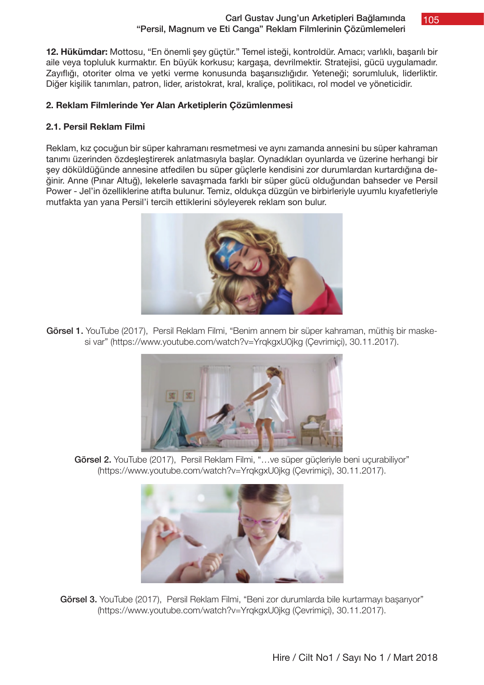## Carl Gustav Jung'un Arketipleri Bağlamında "Persil, Magnum ve Eti Canga" Reklam Filmlerinin Çözümlemeleri

105

**12. Hükümdar:** Mottosu, "En önemli şey güçtür." Temel isteği, kontroldür. Amacı; varlıklı, başarılı bir aile veya topluluk kurmaktır. En büyük korkusu; kargaşa, devrilmektir. Stratejisi, gücü uygulamadır. Zayıflığı, otoriter olma ve yetki verme konusunda başarısızlığıdır. Yeteneği; sorumluluk, liderliktir. Diğer kişilik tanımları, patron, lider, aristokrat, kral, kraliçe, politikacı, rol model ve yöneticidir.

## **2. Reklam Filmlerinde Yer Alan Arketiplerin Çözümlenmesi**

## **2.1. Persil Reklam Filmi**

Reklam, kız çocuğun bir süper kahramanı resmetmesi ve aynı zamanda annesini bu süper kahraman tanımı üzerinden özdeşleştirerek anlatmasıyla başlar. Oynadıkları oyunlarda ve üzerine herhangi bir şey döküldüğünde annesine atfedilen bu süper güçlerle kendisini zor durumlardan kurtardığına değinir. Anne (Pınar Altuğ), lekelerle savaşmada farklı bir süper gücü olduğundan bahseder ve Persil Power - Jel'in özelliklerine atıfta bulunur. Temiz, oldukça düzgün ve birbirleriyle uyumlu kıyafetleriyle mutfakta yan yana Persil'i tercih ettiklerini söyleyerek reklam son bulur.



Görsel 1. YouTube (2017), Persil Reklam Filmi, "Benim annem bir süper kahraman, müthiş bir maskesi var" (https://www.youtube.com/watch?v=YrqkgxU0jkg (Çevrimiçi), 30.11.2017).



Görsel 2. YouTube (2017), Persil Reklam Filmi, "... ve süper güçleriyle beni uçurabiliyor" (https://www.youtube.com/watch?v=YrqkgxU0jkg (Çevrimiçi), 30.11.2017).



Görsel 3. YouTube (2017), Persil Reklam Filmi, "Beni zor durumlarda bile kurtarmayı başarıyor" (https://www.youtube.com/watch?v=YrqkgxU0jkg (Çevrimiçi), 30.11.2017).

Hire / Cilt No1 / Sayı No 1 / Mart 2018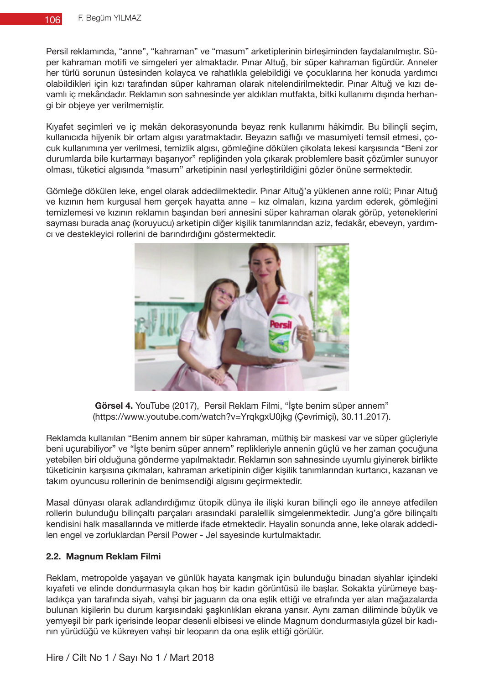Persil reklamında, "anne", "kahraman" ve "masum" arketiplerinin birleşiminden faydalanılmıştır. Süper kahraman motifi ve simgeleri yer almaktadır. Pınar Altuğ, bir süper kahraman figürdür. Anneler her türlü sorunun üstesinden kolayca ve rahatlıkla gelebildiği ve çocuklarına her konuda yardımcı olabildikleri için kızı tarafından süper kahraman olarak nitelendirilmektedir. Pınar Altuğ ve kızı devamlı iç mekândadır. Reklamın son sahnesinde yer aldıkları mutfakta, bitki kullanımı dışında herhangi bir objeye yer verilmemiştir.

Kıyafet seçimleri ve iç mekân dekorasyonunda beyaz renk kullanımı hâkimdir. Bu bilinçli seçim, kullanıcıda hijyenik bir ortam algısı yaratmaktadır. Beyazın saflığı ve masumiyeti temsil etmesi, çocuk kullanımına yer verilmesi, temizlik algısı, gömleğine dökülen çikolata lekesi karşısında "Beni zor durumlarda bile kurtarmayı başarıyor" repliğinden yola çıkarak problemlere basit çözümler sunuyor olması, tüketici algısında "masum" arketipinin nasıl yerleştirildiğini gözler önüne sermektedir.

Gömleğe dökülen leke, engel olarak addedilmektedir. Pınar Altuğ'a yüklenen anne rolü; Pınar Altuğ ve kızının hem kurgusal hem gerçek hayatta anne – kız olmaları, kızına yardım ederek, gömleğini temizlemesi ve kızının reklamın başından beri annesini süper kahraman olarak görüp, yeteneklerini sayması burada anaç (koruyucu) arketipin diğer kişilik tanımlarından aziz, fedakâr, ebeveyn, yardımcı ve destekleyici rollerini de barındırdığını göstermektedir.



**Görsel 4.** YouTube (2017), Persil Reklam Filmi, "İşte benim süper annem" (https://www.youtube.com/watch?v=YrqkgxU0jkg (Çevrimiçi), 30.11.2017).

Reklamda kullanılan "Benim annem bir süper kahraman, müthiş bir maskesi var ve süper güçleriyle beni uçurabiliyor" ve "İşte benim süper annem" replikleriyle annenin güçlü ve her zaman çocuğuna yetebilen biri olduğuna gönderme yapılmaktadır. Reklamın son sahnesinde uyumlu giyinerek birlikte tüketicinin karşısına çıkmaları, kahraman arketipinin diğer kişilik tanımlarından kurtarıcı, kazanan ve takım oyuncusu rollerinin de benimsendiği algısını geçirmektedir.

Masal dünyası olarak adlandırdığımız ütopik dünya ile ilişki kuran bilinçli ego ile anneye atfedilen rollerin bulunduğu bilinçaltı parçaları arasındaki paralellik simgelenmektedir. Jung'a göre bilinçaltı kendisini halk masallarında ve mitlerde ifade etmektedir. Hayalin sonunda anne, leke olarak addedilen engel ve zorluklardan Persil Power - Jel sayesinde kurtulmaktadır.

# **2.2. Magnum Reklam Filmi**

Reklam, metropolde yaşayan ve günlük hayata karışmak için bulunduğu binadan siyahlar içindeki kıyafeti ve elinde dondurmasıyla çıkan hoş bir kadın görüntüsü ile başlar. Sokakta yürümeye başladıkça yan tarafında siyah, vahşi bir jaguarın da ona eşlik ettiği ve etrafında yer alan mağazalarda bulunan kişilerin bu durum karşısındaki şaşkınlıkları ekrana yansır. Aynı zaman diliminde büyük ve yemyeşil bir park içerisinde leopar desenli elbisesi ve elinde Magnum dondurmasıyla güzel bir kadının yürüdüğü ve kükreyen vahşi bir leoparın da ona eşlik ettiği görülür.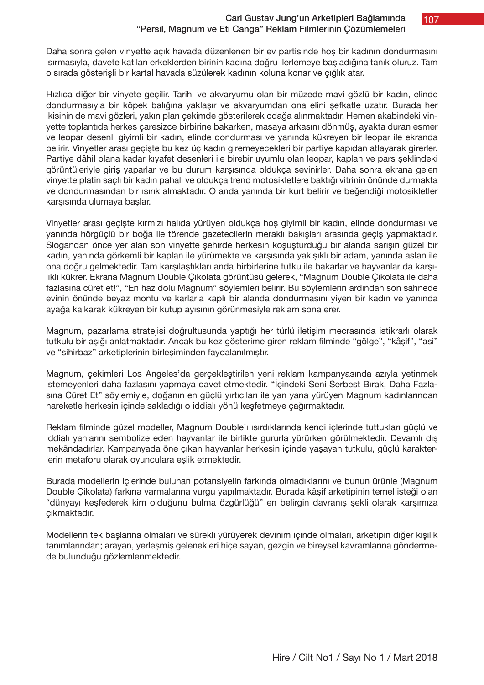## Carl Gustav Jung'un Arketipleri Bağlamında "Persil, Magnum ve Eti Canga" Reklam Filmlerinin Çözümlemeleri

Daha sonra gelen vinyette açık havada düzenlenen bir ev partisinde hoş bir kadının dondurmasını ısırmasıyla, davete katılan erkeklerden birinin kadına doğru ilerlemeye başladığına tanık oluruz. Tam o sırada gösterişli bir kartal havada süzülerek kadının koluna konar ve çığlık atar.

Hızlıca diğer bir vinyete geçilir. Tarihi ve akvaryumu olan bir müzede mavi gözlü bir kadın, elinde dondurmasıyla bir köpek balığına yaklaşır ve akvaryumdan ona elini şefkatle uzatır. Burada her ikisinin de mavi gözleri, yakın plan çekimde gösterilerek odağa alınmaktadır. Hemen akabindeki vinyette toplantıda herkes çaresizce birbirine bakarken, masaya arkasını dönmüş, ayakta duran esmer ve leopar desenli giyimli bir kadın, elinde dondurması ve yanında kükreyen bir leopar ile ekranda belirir. Vinyetler arası geçişte bu kez üç kadın giremeyecekleri bir partiye kapıdan atlayarak girerler. Partiye dâhil olana kadar kıyafet desenleri ile birebir uyumlu olan leopar, kaplan ve pars şeklindeki görüntüleriyle giriş yaparlar ve bu durum karşısında oldukça sevinirler. Daha sonra ekrana gelen vinyette platin saçlı bir kadın pahalı ve oldukça trend motosikletlere baktığı vitrinin önünde durmakta ve dondurmasından bir ısırık almaktadır. O anda yanında bir kurt belirir ve beğendiği motosikletler karşısında ulumaya başlar.

Vinyetler arası geçişte kırmızı halıda yürüyen oldukça hoş giyimli bir kadın, elinde dondurması ve yanında hörgüçlü bir boğa ile törende gazetecilerin meraklı bakışları arasında geçiş yapmaktadır. Slogandan önce yer alan son vinyette şehirde herkesin koşuşturduğu bir alanda sarışın güzel bir kadın, yanında görkemli bir kaplan ile yürümekte ve karşısında yakışıklı bir adam, yanında aslan ile ona doğru gelmektedir. Tam karşılaştıkları anda birbirlerine tutku ile bakarlar ve hayvanlar da karşılıklı kükrer. Ekrana Magnum Double Çikolata görüntüsü gelerek, "Magnum Double Çikolata ile daha fazlasına cüret et!", "En haz dolu Magnum" söylemleri belirir. Bu söylemlerin ardından son sahnede evinin önünde beyaz montu ve karlarla kaplı bir alanda dondurmasını yiyen bir kadın ve yanında ayağa kalkarak kükreyen bir kutup ayısının görünmesiyle reklam sona erer.

Magnum, pazarlama stratejisi doğrultusunda yaptığı her türlü iletişim mecrasında istikrarlı olarak tutkulu bir aşığı anlatmaktadır. Ancak bu kez gösterime giren reklam filminde "gölge", "kâşif", "asi" ve "sihirbaz" arketiplerinin birleşiminden faydalanılmıştır.

Magnum, çekimleri Los Angeles'da gerçekleştirilen yeni reklam kampanyasında azıyla yetinmek istemeyenleri daha fazlasını yapmaya davet etmektedir. "İçindeki Seni Serbest Bırak, Daha Fazlasına Cüret Et" söylemiyle, doğanın en güçlü yırtıcıları ile yan yana yürüyen Magnum kadınlarından hareketle herkesin içinde sakladığı o iddialı yönü keşfetmeye çağırmaktadır.

Reklam filminde güzel modeller, Magnum Double'ı ısırdıklarında kendi içlerinde tuttukları güçlü ve iddialı yanlarını sembolize eden hayvanlar ile birlikte gururla yürürken görülmektedir. Devamlı dış mekândadırlar. Kampanyada öne çıkan hayvanlar herkesin içinde yaşayan tutkulu, güçlü karakterlerin metaforu olarak oyunculara eşlik etmektedir.

Burada modellerin içlerinde bulunan potansiyelin farkında olmadıklarını ve bunun ürünle (Magnum Double Çikolata) farkına varmalarına vurgu yapılmaktadır. Burada kâşif arketipinin temel isteği olan "dünyayı keşfederek kim olduğunu bulma özgürlüğü" en belirgin davranış şekli olarak karşımıza çıkmaktadır.

Modellerin tek başlarına olmaları ve sürekli yürüyerek devinim içinde olmaları, arketipin diğer kişilik tanımlarından; arayan, yerleşmiş gelenekleri hiçe sayan, gezgin ve bireysel kavramlarına göndermede bulunduğu gözlemlenmektedir.

107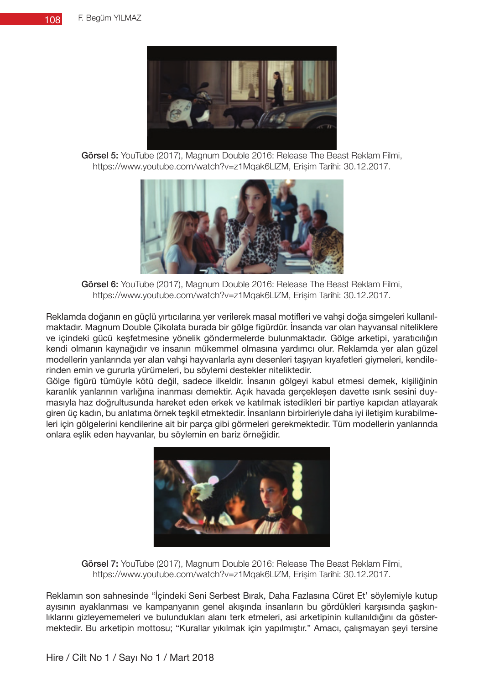

Görsel 5: YouTube (2017), Magnum Double 2016: Release The Beast Reklam Filmi, https://www.youtube.com/watch?v=z1Mqak6LlZM, Erişim Tarihi: 30.12.2017.



Görsel 6: YouTube (2017), Magnum Double 2016: Release The Beast Reklam Filmi, https://www.youtube.com/watch?v=z1Mqak6LlZM, Erişim Tarihi: 30.12.2017.

Reklamda doğanın en güçlü yırtıcılarına yer verilerek masal motifleri ve vahşi doğa simgeleri kullanılmaktadır. Magnum Double Çikolata burada bir gölge figürdür. İnsanda var olan hayvansal niteliklere ve içindeki gücü keşfetmesine yönelik göndermelerde bulunmaktadır. Gölge arketipi, yaratıcılığın kendi olmanın kaynağıdır ve insanın mükemmel olmasına yardımcı olur. Reklamda yer alan güzel modellerin yanlarında yer alan vahşi hayvanlarla aynı desenleri taşıyan kıyafetleri giymeleri, kendilerinden emin ve gururla yürümeleri, bu söylemi destekler niteliktedir.

Gölge figürü tümüyle kötü değil, sadece ilkeldir. İnsanın gölgeyi kabul etmesi demek, kişiliğinin karanlık yanlarının varlığına inanması demektir. Açık havada gerçekleşen davette ısırık sesini duymasıyla haz doğrultusunda hareket eden erkek ve katılmak istedikleri bir partiye kapıdan atlayarak giren üç kadın, bu anlatıma örnek teşkil etmektedir. İnsanların birbirleriyle daha iyi iletişim kurabilmeleri için gölgelerini kendilerine ait bir parça gibi görmeleri gerekmektedir. Tüm modellerin yanlarında onlara eşlik eden hayvanlar, bu söylemin en bariz örneğidir.



Görsel 7: YouTube (2017), Magnum Double 2016: Release The Beast Reklam Filmi, https://www.youtube.com/watch?v=z1Mqak6LlZM, Erişim Tarihi: 30.12.2017.

Reklamın son sahnesinde "İçindeki Seni Serbest Bırak, Daha Fazlasına Cüret Et' söylemiyle kutup ayısının ayaklanması ve kampanyanın genel akışında insanların bu gördükleri karşısında şaşkınlıklarını gizleyememeleri ve bulundukları alanı terk etmeleri, asi arketipinin kullanıldığını da göstermektedir. Bu arketipin mottosu; "Kurallar yıkılmak için yapılmıştır." Amacı, çalışmayan şeyi tersine

Hire / Cilt No 1 / Sayı No 1 / Mart 2018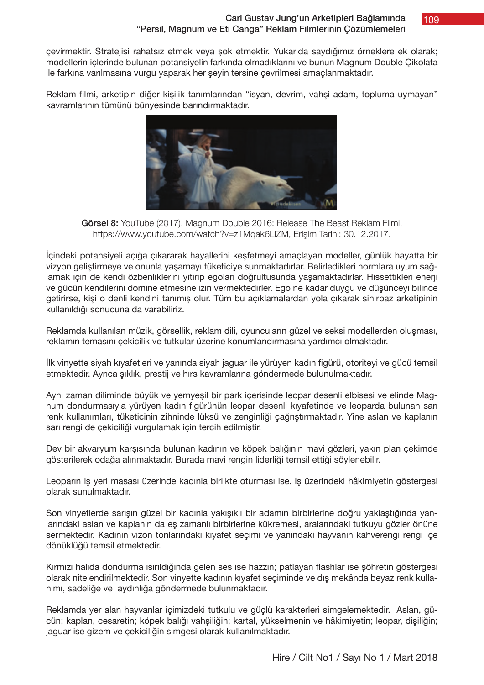109

çevirmektir. Stratejisi rahatsız etmek veya şok etmektir. Yukarıda saydığımız örneklere ek olarak; modellerin içlerinde bulunan potansiyelin farkında olmadıklarını ve bunun Magnum Double Çikolata ile farkına varılmasına vurgu yaparak her şeyin tersine çevrilmesi amaçlanmaktadır.

Reklam filmi, arketipin diğer kişilik tanımlarından "isyan, devrim, vahşi adam, topluma uymayan" kavramlarının tümünü bünyesinde barındırmaktadır.



Görsel 8: YouTube (2017), Magnum Double 2016: Release The Beast Reklam Filmi, https://www.youtube.com/watch?v=z1Mqak6LlZM, Erişim Tarihi: 30.12.2017.

İçindeki potansiyeli açığa çıkararak hayallerini keşfetmeyi amaçlayan modeller, günlük hayatta bir vizyon geliştirmeye ve onunla yaşamayı tüketiciye sunmaktadırlar. Belirledikleri normlara uyum sağlamak için de kendi özbenliklerini yitirip egoları doğrultusunda yaşamaktadırlar. Hissettikleri enerji ve gücün kendilerini domine etmesine izin vermektedirler. Ego ne kadar duygu ve düşünceyi bilince getirirse, kişi o denli kendini tanımış olur. Tüm bu açıklamalardan yola çıkarak sihirbaz arketipinin kullanıldığı sonucuna da varabiliriz.

Reklamda kullanılan müzik, görsellik, reklam dili, oyuncuların güzel ve seksi modellerden oluşması, reklamın temasını çekicilik ve tutkular üzerine konumlandırmasına yardımcı olmaktadır.

İlk vinyette siyah kıyafetleri ve yanında siyah jaguar ile yürüyen kadın figürü, otoriteyi ve gücü temsil etmektedir. Ayrıca şıklık, prestij ve hırs kavramlarına göndermede bulunulmaktadır.

Aynı zaman diliminde büyük ve yemyeşil bir park içerisinde leopar desenli elbisesi ve elinde Magnum dondurmasıyla yürüyen kadın figürünün leopar desenli kıyafetinde ve leoparda bulunan sarı renk kullanımları, tüketicinin zihninde lüksü ve zenginliği çağrıştırmaktadır. Yine aslan ve kaplanın sarı rengi de çekiciliği vurgulamak için tercih edilmiştir.

Dev bir akvaryum karşısında bulunan kadının ve köpek balığının mavi gözleri, yakın plan çekimde gösterilerek odağa alınmaktadır. Burada mavi rengin liderliği temsil ettiği söylenebilir.

Leoparın iş yeri masası üzerinde kadınla birlikte oturması ise, iş üzerindeki hâkimiyetin göstergesi olarak sunulmaktadır.

Son vinyetlerde sarışın güzel bir kadınla yakışıklı bir adamın birbirlerine doğru yaklaştığında yanlarındaki aslan ve kaplanın da eş zamanlı birbirlerine kükremesi, aralarındaki tutkuyu gözler önüne sermektedir. Kadının vizon tonlarındaki kıyafet seçimi ve yanındaki hayvanın kahverengi rengi içe dönüklüğü temsil etmektedir.

Kırmızı halıda dondurma ısırıldığında gelen ses ise hazzın; patlayan flashlar ise şöhretin göstergesi olarak nitelendirilmektedir. Son vinyette kadının kıyafet seçiminde ve dış mekânda beyaz renk kullanımı, sadeliğe ve aydınlığa göndermede bulunmaktadır.

Reklamda yer alan hayvanlar içimizdeki tutkulu ve güçlü karakterleri simgelemektedir. Aslan, gücün; kaplan, cesaretin; köpek balığı vahşiliğin; kartal, yükselmenin ve hâkimiyetin; leopar, dişiliğin; jaguar ise gizem ve çekiciliğin simgesi olarak kullanılmaktadır.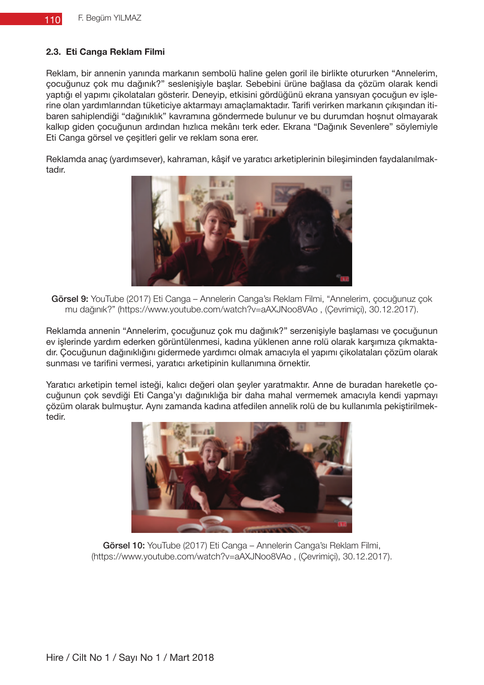## **2.3. Eti Canga Reklam Filmi**

Reklam, bir annenin yanında markanın sembolü haline gelen goril ile birlikte otururken "Annelerim, çocuğunuz çok mu dağınık?" seslenişiyle başlar. Sebebini ürüne bağlasa da çözüm olarak kendi yaptığı el yapımı çikolataları gösterir. Deneyip, etkisini gördüğünü ekrana yansıyan çocuğun ev işlerine olan yardımlarından tüketiciye aktarmayı amaçlamaktadır. Tarifi verirken markanın çıkışından itibaren sahiplendiği "dağınıklık" kavramına göndermede bulunur ve bu durumdan hoşnut olmayarak kalkıp giden çocuğunun ardından hızlıca mekânı terk eder. Ekrana "Dağınık Sevenlere" söylemiyle Eti Canga görsel ve çeşitleri gelir ve reklam sona erer.

Reklamda anaç (yardımsever), kahraman, kâşif ve yaratıcı arketiplerinin bileşiminden faydalanılmaktadır.



Görsel 9: YouTube (2017) Eti Canga – Annelerin Canga'sı Reklam Filmi, "Annelerim, çocuğunuz çok mu dağınık?" (https://www.youtube.com/watch?v=aAXJNoo8VAo , (Çevrimiçi), 30.12.2017).

Reklamda annenin "Annelerim, çocuğunuz çok mu dağınık?" serzenişiyle başlaması ve çocuğunun ev işlerinde yardım ederken görüntülenmesi, kadına yüklenen anne rolü olarak karşımıza çıkmaktadır. Çocuğunun dağınıklığını gidermede yardımcı olmak amacıyla el yapımı çikolataları çözüm olarak sunması ve tarifini vermesi, yaratıcı arketipinin kullanımına örnektir.

Yaratıcı arketipin temel isteği, kalıcı değeri olan şeyler yaratmaktır. Anne de buradan hareketle çocuğunun çok sevdiği Eti Canga'yı dağınıklığa bir daha mahal vermemek amacıyla kendi yapmayı çözüm olarak bulmuştur. Aynı zamanda kadına atfedilen annelik rolü de bu kullanımla pekiştirilmektedir.



Görsel 10: YouTube (2017) Eti Canga – Annelerin Canga'sı Reklam Filmi, (https://www.youtube.com/watch?v=aAXJNoo8VAo , (Çevrimiçi), 30.12.2017).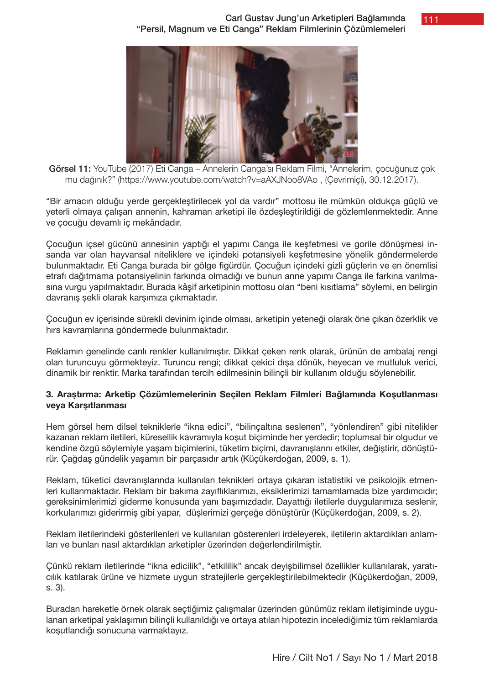111



Görsel 11: YouTube (2017) Eti Canga – Annelerin Canga'sı Reklam Filmi, "Annelerim, çocuğunuz çok mu dağınık?" (https://www.youtube.com/watch?v=aAXJNoo8VAo , (Çevrimiçi), 30.12.2017).

"Bir amacın olduğu yerde gerçekleştirilecek yol da vardır" mottosu ile mümkün oldukça güçlü ve yeterli olmaya çalışan annenin, kahraman arketipi ile özdeşleştirildiği de gözlemlenmektedir. Anne ve çocuğu devamlı iç mekândadır.

Çocuğun içsel gücünü annesinin yaptığı el yapımı Canga ile keşfetmesi ve gorile dönüşmesi insanda var olan hayvansal niteliklere ve içindeki potansiyeli keşfetmesine yönelik göndermelerde bulunmaktadır. Eti Canga burada bir gölge figürdür. Çocuğun içindeki gizli güçlerin ve en önemlisi etrafı dağıtmama potansiyelinin farkında olmadığı ve bunun anne yapımı Canga ile farkına varılmasına vurgu yapılmaktadır. Burada kâşif arketipinin mottosu olan "beni kısıtlama" söylemi, en belirgin davranış şekli olarak karşımıza çıkmaktadır.

Çocuğun ev içerisinde sürekli devinim içinde olması, arketipin yeteneği olarak öne çıkan özerklik ve hırs kavramlarına göndermede bulunmaktadır.

Reklamın genelinde canlı renkler kullanılmıştır. Dikkat çeken renk olarak, ürünün de ambalaj rengi olan turuncuyu görmekteyiz. Turuncu rengi; dikkat çekici dışa dönük, heyecan ve mutluluk verici, dinamik bir renktir. Marka tarafından tercih edilmesinin bilinçli bir kullanım olduğu söylenebilir.

## **3. Araştırma: Arketip Çözümlemelerinin Seçilen Reklam Filmleri Bağlamında Koşutlanması veya Karşıtlanması**

Hem görsel hem dilsel tekniklerle "ikna edici", "bilinçaltına seslenen", "yönlendiren" gibi nitelikler kazanan reklam iletileri, küresellik kavramıyla koşut biçiminde her yerdedir; toplumsal bir olgudur ve kendine özgü söylemiyle yaşam biçimlerini, tüketim biçimi, davranışlarını etkiler, değiştirir, dönüştürür. Çağdaş gündelik yaşamın bir parçasıdır artık (Küçükerdoğan, 2009, s. 1).

Reklam, tüketici davranışlarında kullanılan teknikleri ortaya çıkaran istatistiki ve psikolojik etmenleri kullanmaktadır. Reklam bir bakıma zayıflıklarımızı, eksiklerimizi tamamlamada bize yardımcıdır; gereksinimlerimizi giderme konusunda yanı başımızdadır. Dayattığı iletilerle duygularımıza seslenir, korkularımızı giderirmiş gibi yapar, düşlerimizi gerçeğe dönüştürür (Küçükerdoğan, 2009, s. 2).

Reklam iletilerindeki gösterilenleri ve kullanılan gösterenleri irdeleyerek, iletilerin aktardıkları anlamları ve bunları nasıl aktardıkları arketipler üzerinden değerlendirilmiştir.

Çünkü reklam iletilerinde "ikna edicilik", "etkililik" ancak deyişbilimsel özellikler kullanılarak, yaratıcılık katılarak ürüne ve hizmete uygun stratejilerle gerçekleştirilebilmektedir (Küçükerdoğan, 2009, s. 3).

Buradan hareketle örnek olarak seçtiğimiz çalışmalar üzerinden günümüz reklam iletişiminde uygulanan arketipal yaklaşımın bilinçli kullanıldığı ve ortaya atılan hipotezin incelediğimiz tüm reklamlarda koşutlandığı sonucuna varmaktayız.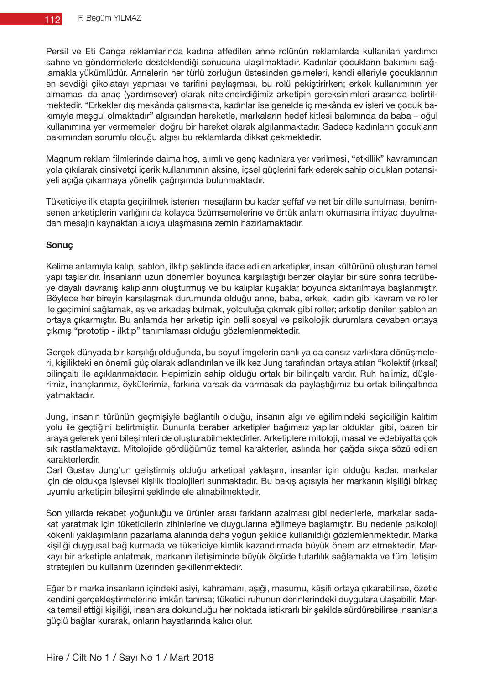Persil ve Eti Canga reklamlarında kadına atfedilen anne rolünün reklamlarda kullanılan yardımcı sahne ve göndermelerle desteklendiği sonucuna ulaşılmaktadır. Kadınlar çocukların bakımını sağlamakla yükümlüdür. Annelerin her türlü zorluğun üstesinden gelmeleri, kendi elleriyle çocuklarının en sevdiği çikolatayı yapması ve tarifini paylaşması, bu rolü pekiştirirken; erkek kullanımının yer almaması da anaç (yardımsever) olarak nitelendirdiğimiz arketipin gereksinimleri arasında belirtilmektedir. "Erkekler dış mekânda çalışmakta, kadınlar ise genelde iç mekânda ev işleri ve çocuk bakımıyla meşgul olmaktadır" algısından hareketle, markaların hedef kitlesi bakımında da baba – oğul kullanımına yer vermemeleri doğru bir hareket olarak algılanmaktadır. Sadece kadınların çocukların bakımından sorumlu olduğu algısı bu reklamlarda dikkat çekmektedir.

Magnum reklam filmlerinde daima hoş, alımlı ve genç kadınlara yer verilmesi, "etkillik" kavramından yola çıkılarak cinsiyetçi içerik kullanımının aksine, içsel güçlerini fark ederek sahip oldukları potansiyeli açığa çıkarmaya yönelik çağrışımda bulunmaktadır.

Tüketiciye ilk etapta geçirilmek istenen mesajların bu kadar şeffaf ve net bir dille sunulması, benimsenen arketiplerin varlığını da kolayca özümsemelerine ve örtük anlam okumasına ihtiyaç duyulmadan mesajın kaynaktan alıcıya ulaşmasına zemin hazırlamaktadır.

## **Sonuç**

Kelime anlamıyla kalıp, şablon, ilktip şeklinde ifade edilen arketipler, insan kültürünü oluşturan temel yapı taşlarıdır. İnsanların uzun dönemler boyunca karşılaştığı benzer olaylar bir süre sonra tecrübeye dayalı davranış kalıplarını oluşturmuş ve bu kalıplar kuşaklar boyunca aktarılmaya başlanmıştır. Böylece her bireyin karşılaşmak durumunda olduğu anne, baba, erkek, kadın gibi kavram ve roller ile geçimini sağlamak, eş ve arkadaş bulmak, yolculuğa çıkmak gibi roller; arketip denilen şablonları ortaya çıkarmıştır. Bu anlamda her arketip için belli sosyal ve psikolojik durumlara cevaben ortaya çıkmış "prototip - ilktip" tanımlaması olduğu gözlemlenmektedir.

Gerçek dünyada bir karşılığı olduğunda, bu soyut imgelerin canlı ya da cansız varlıklara dönüşmeleri, kişilikteki en önemli güç olarak adlandırılan ve ilk kez Jung tarafından ortaya atılan "kolektif (ırksal) bilinçaltı ile açıklanmaktadır. Hepimizin sahip olduğu ortak bir bilinçaltı vardır. Ruh halimiz, düşlerimiz, inançlarımız, öykülerimiz, farkına varsak da varmasak da paylaştığımız bu ortak bilinçaltında yatmaktadır.

Jung, insanın türünün geçmişiyle bağlantılı olduğu, insanın algı ve eğilimindeki seçiciliğin kalıtım yolu ile geçtiğini belirtmiştir. Bununla beraber arketipler bağımsız yapılar oldukları gibi, bazen bir araya gelerek yeni bileşimleri de oluşturabilmektedirler. Arketiplere mitoloji, masal ve edebiyatta çok sık rastlamaktayız. Mitolojide gördüğümüz temel karakterler, aslında her çağda sıkça sözü edilen karakterlerdir.

Carl Gustav Jung'un geliştirmiş olduğu arketipal yaklaşım, insanlar için olduğu kadar, markalar için de oldukça işlevsel kişilik tipolojileri sunmaktadır. Bu bakış açısıyla her markanın kişiliği birkaç uyumlu arketipin bileşimi şeklinde ele alınabilmektedir.

Son yıllarda rekabet yoğunluğu ve ürünler arası farkların azalması gibi nedenlerle, markalar sadakat yaratmak için tüketicilerin zihinlerine ve duygularına eğilmeye başlamıştır. Bu nedenle psikoloji kökenli yaklaşımların pazarlama alanında daha yoğun şekilde kullanıldığı gözlemlenmektedir. Marka kişiliği duygusal bağ kurmada ve tüketiciye kimlik kazandırmada büyük önem arz etmektedir. Markayı bir arketiple anlatmak, markanın iletişiminde büyük ölçüde tutarlılık sağlamakta ve tüm iletişim stratejileri bu kullanım üzerinden şekillenmektedir.

Eğer bir marka insanların içindeki asiyi, kahramanı, aşığı, masumu, kâşifi ortaya çıkarabilirse, özetle kendini gerçekleştirmelerine imkân tanırsa; tüketici ruhunun derinlerindeki duygulara ulaşabilir. Marka temsil ettiği kişiliği, insanlara dokunduğu her noktada istikrarlı bir şekilde sürdürebilirse insanlarla güçlü bağlar kurarak, onların hayatlarında kalıcı olur.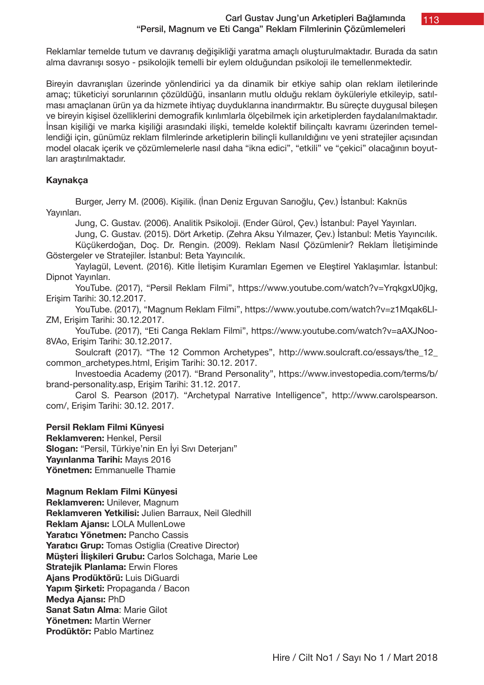#### Carl Gustav Jung'un Arketipleri Bağlamında "Persil, Magnum ve Eti Canga" Reklam Filmlerinin Çözümlemeleri

113

Reklamlar temelde tutum ve davranış değişikliği yaratma amaçlı oluşturulmaktadır. Burada da satın alma davranışı sosyo - psikolojik temelli bir eylem olduğundan psikoloji ile temellenmektedir.

Bireyin davranışları üzerinde yönlendirici ya da dinamik bir etkiye sahip olan reklam iletilerinde amaç; tüketiciyi sorunlarının çözüldüğü, insanların mutlu olduğu reklam öyküleriyle etkileyip, satılması amaçlanan ürün ya da hizmete ihtiyaç duyduklarına inandırmaktır. Bu süreçte duygusal bileşen ve bireyin kişisel özelliklerini demografik kırılımlarla ölçebilmek için arketiplerden faydalanılmaktadır. İnsan kişiliği ve marka kişiliği arasındaki ilişki, temelde kolektif bilinçaltı kavramı üzerinden temellendiği için, günümüz reklam filmlerinde arketiplerin bilinçli kullanıldığını ve yeni stratejiler açısından model olacak içerik ve çözümlemelerle nasıl daha "ikna edici", "etkili" ve "çekici" olacağının boyutları araştırılmaktadır.

## **Kaynakça**

Burger, Jerry M. (2006). Kişilik. (İnan Deniz Erguvan Sarıoğlu, Çev.) İstanbul: Kaknüs Yayınları.

Jung, C. Gustav. (2006). Analitik Psikoloji. (Ender Gürol, Çev.) İstanbul: Payel Yayınları.

Jung, C. Gustav. (2015). Dört Arketip. (Zehra Aksu Yılmazer, Çev.) İstanbul: Metis Yayıncılık.

Küçükerdoğan, Doç. Dr. Rengin. (2009). Reklam Nasıl Çözümlenir? Reklam İletişiminde Göstergeler ve Stratejiler. İstanbul: Beta Yayıncılık.

Yaylagül, Levent. (2016). Kitle İletişim Kuramları Egemen ve Eleştirel Yaklaşımlar. İstanbul: Dipnot Yayınları.

YouTube. (2017), "Persil Reklam Filmi", https://www.youtube.com/watch?v=YrqkgxU0jkg, Erişim Tarihi: 30.12.2017.

YouTube. (2017), "Magnum Reklam Filmi", https://www.youtube.com/watch?v=z1Mqak6Ll-ZM, Erişim Tarihi: 30.12.2017.

YouTube. (2017), "Eti Canga Reklam Filmi", https://www.youtube.com/watch?v=aAXJNoo-8VAo, Erişim Tarihi: 30.12.2017.

Soulcraft (2017). "The 12 Common Archetypes", http://www.soulcraft.co/essays/the 12 common\_archetypes.html, Erişim Tarihi: 30.12. 2017.

Investoedia Academy (2017). "Brand Personality", https://www.investopedia.com/terms/b/ brand-personality.asp, Erişim Tarihi: 31.12. 2017.

Carol S. Pearson (2017). "Archetypal Narrative Intelligence", http://www.carolspearson. com/, Erişim Tarihi: 30.12. 2017.

## **Persil Reklam Filmi Künyesi**

**Reklamveren:** Henkel, Persil **Slogan:** "Persil, Türkiye'nin En İyi Sıvı Deterjanı" **Yayınlanma Tarihi:** Mayıs 2016 **Yönetmen:** Emmanuelle Thamie

## **Magnum Reklam Filmi Künyesi**

**Reklamveren:** Unilever, Magnum **Reklamveren Yetkilisi:** Julien Barraux, Neil Gledhill **Reklam Ajansı:** LOLA MullenLowe **Yaratıcı Yönetmen:** Pancho Cassis Yaratıcı Grup: Tomas Ostiglia (Creative Director) **Müşteri İlişkileri Grubu:** Carlos Solchaga, Marie Lee **Stratejik Planlama:** Erwin Flores **Ajans Prodüktörü:** Luis DiGuardi **Yapım Şirketi:** Propaganda / Bacon **Medya Ajansı:** PhD **Sanat Satın Alma**: Marie Gilot **Yönetmen:** Martin Werner **Prodüktör:** Pablo Martinez